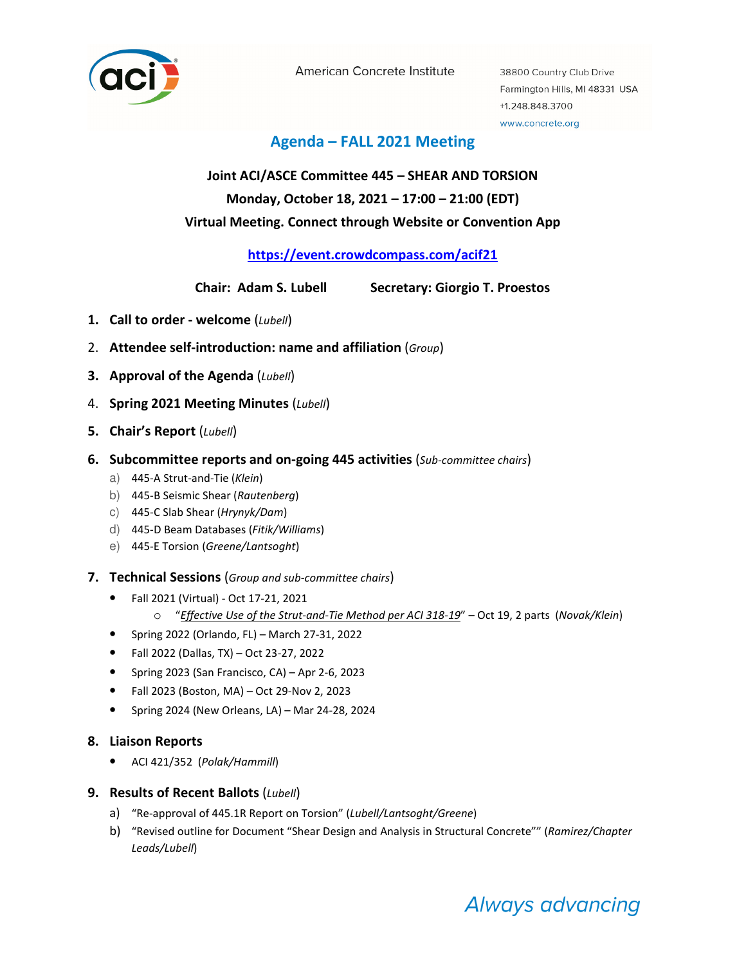

American Concrete Institute

38800 Country Club Drive Farmington Hills, MI 48331 USA +1.248.848.3700 www.concrete.org

## Agenda – FALL 2021 Meeting

# Joint ACI/ASCE Committee 445 – SHEAR AND TORSION Monday, October 18, 2021 – 17:00 – 21:00 (EDT) Virtual Meeting. Connect through Website or Convention App

## https://event.crowdcompass.com/acif21

Chair: Adam S. Lubell Secretary: Giorgio T. Proestos

- 1. Call to order welcome  $(Lubell)$
- 2. Attendee self-introduction: name and affiliation (Group)
- 3. Approval of the Agenda  $(Lubell)$
- 4. Spring 2021 Meeting Minutes (Lubell)
- 5. Chair's Report (Lubell)
- 6. Subcommittee reports and on-going 445 activities (Sub-committee chairs)
	- a) 445-A Strut-and-Tie (Klein)
	- b) 445-B Seismic Shear (Rautenberg)
	- c) 445-C Slab Shear (Hrynyk/Dam)
	- d) 445-D Beam Databases (Fitik/Williams)
	- e) 445-E Torsion (Greene/Lantsoght)
- 7. Technical Sessions (Group and sub-committee chairs)
	- Fall 2021 (Virtual) Oct 17-21, 2021
		- $\circ$  "Effective Use of the Strut-and-Tie Method per ACI 318-19" Oct 19, 2 parts (Novak/Klein)
	- Spring 2022 (Orlando, FL) March 27-31, 2022
	- Fall 2022 (Dallas, TX) Oct 23-27, 2022
	- Spring 2023 (San Francisco, CA) Apr 2-6, 2023
	- Fall 2023 (Boston, MA) Oct 29-Nov 2, 2023
	- Spring 2024 (New Orleans, LA) Mar 24-28, 2024

### 8. Liaison Reports

• ACI 421/352 (Polak/Hammill)

## 9. Results of Recent Ballots (Lubell)

- a) "Re-approval of 445.1R Report on Torsion" (Lubell/Lantsoght/Greene)
- b) "Revised outline for Document "Shear Design and Analysis in Structural Concrete"" (Ramirez/Chapter Leads/Lubell)